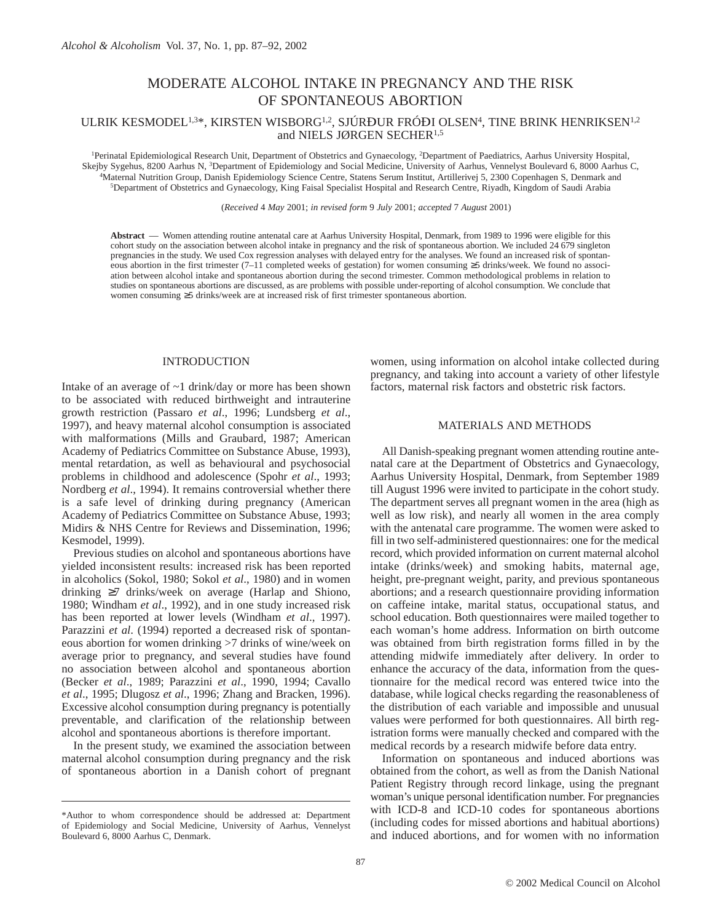# MODERATE ALCOHOL INTAKE IN PREGNANCY AND THE RISK OF SPONTANEOUS ABORTION

# ULRIK KESMODEL<sup>1,3</sup>\*, KIRSTEN WISBORG<sup>1,2</sup>, SJÚRÐUR FRÓÐI OLSEN<sup>4</sup>, TINE BRINK HENRIKSEN<sup>1,2</sup> and NIELS JØRGEN SECHER<sup>1,5</sup>

<sup>1</sup>Perinatal Epidemiological Research Unit, Department of Obstetrics and Gynaecology, <sup>2</sup>Department of Paediatrics, Aarhus University Hospital, Skejby Sygehus, 8200 Aarhus N, <sup>3</sup>Department of Epidemiology and Social Medicine, University of Aarhus, Vennelyst Boulevard 6, 8000 Aarhus C, 4Maternal Nutrition Group, Danish Epidemiology Science Centre, Statens Serum Ins Maternal Nutrition Group, Danish Epidemiology Science Centre, Statens Serum Institut, Artillerivej 5, 2300 Copenhagen S, Denmark and 5 <sup>5</sup>Department of Obstetrics and Gynaecology, King Faisal Specialist Hospital and Research Centre, Riyadh, Kingdom of Saudi Arabia

(*Received* 4 *May* 2001; *in revised form* 9 *July* 2001; *accepted* 7 *August* 2001)

**Abstract** — Women attending routine antenatal care at Aarhus University Hospital, Denmark, from 1989 to 1996 were eligible for this cohort study on the association between alcohol intake in pregnancy and the risk of spontaneous abortion. We included 24 679 singleton pregnancies in the study. We used Cox regression analyses with delayed entry for the analyses. We found an increased risk of spontaneous abortion in the first trimester (7–11 completed weeks of gestation) for women consuming ≥5 drinks/week. We found no association between alcohol intake and spontaneous abortion during the second trimester. Common methodological problems in relation to studies on spontaneous abortions are discussed, as are problems with possible under-reporting of alcohol consumption. We conclude that women consuming ≥5 drinks/week are at increased risk of first trimester spontaneous abortion.

## INTRODUCTION

Intake of an average of ~1 drink/day or more has been shown to be associated with reduced birthweight and intrauterine growth restriction (Passaro *et al*., 1996; Lundsberg *et al*., 1997), and heavy maternal alcohol consumption is associated with malformations (Mills and Graubard, 1987; American Academy of Pediatrics Committee on Substance Abuse, 1993), mental retardation, as well as behavioural and psychosocial problems in childhood and adolescence (Spohr *et al*., 1993; Nordberg *et al*., 1994). It remains controversial whether there is a safe level of drinking during pregnancy (American Academy of Pediatrics Committee on Substance Abuse, 1993; Midirs & NHS Centre for Reviews and Dissemination, 1996; Kesmodel, 1999).

Previous studies on alcohol and spontaneous abortions have yielded inconsistent results: increased risk has been reported in alcoholics (Sokol, 1980; Sokol *et al*., 1980) and in women drinking ≥7 drinks/week on average (Harlap and Shiono, 1980; Windham *et al*., 1992), and in one study increased risk has been reported at lower levels (Windham *et al*., 1997). Parazzini et al. (1994) reported a decreased risk of spontaneous abortion for women drinking >7 drinks of wine/week on average prior to pregnancy, and several studies have found no association between alcohol and spontaneous abortion (Becker *et al*., 1989; Parazzini *et al*., 1990, 1994; Cavallo *et al*., 1995; Dlugosz *et al*., 1996; Zhang and Bracken, 1996). Excessive alcohol consumption during pregnancy is potentially preventable, and clarification of the relationship between alcohol and spontaneous abortions is therefore important.

In the present study, we examined the association between maternal alcohol consumption during pregnancy and the risk of spontaneous abortion in a Danish cohort of pregnant women, using information on alcohol intake collected during pregnancy, and taking into account a variety of other lifestyle factors, maternal risk factors and obstetric risk factors.

# MATERIALS AND METHODS

All Danish-speaking pregnant women attending routine antenatal care at the Department of Obstetrics and Gynaecology, Aarhus University Hospital, Denmark, from September 1989 till August 1996 were invited to participate in the cohort study. The department serves all pregnant women in the area (high as well as low risk), and nearly all women in the area comply with the antenatal care programme. The women were asked to fill in two self-administered questionnaires: one for the medical record, which provided information on current maternal alcohol intake (drinks/week) and smoking habits, maternal age, height, pre-pregnant weight, parity, and previous spontaneous abortions; and a research questionnaire providing information on caffeine intake, marital status, occupational status, and school education. Both questionnaires were mailed together to each woman's home address. Information on birth outcome was obtained from birth registration forms filled in by the attending midwife immediately after delivery. In order to enhance the accuracy of the data, information from the questionnaire for the medical record was entered twice into the database, while logical checks regarding the reasonableness of the distribution of each variable and impossible and unusual values were performed for both questionnaires. All birth registration forms were manually checked and compared with the medical records by a research midwife before data entry.

Information on spontaneous and induced abortions was obtained from the cohort, as well as from the Danish National Patient Registry through record linkage, using the pregnant woman's unique personal identification number. For pregnancies with ICD-8 and ICD-10 codes for spontaneous abortions (including codes for missed abortions and habitual abortions) and induced abortions, and for women with no information

<sup>\*</sup>Author to whom correspondence should be addressed at: Department of Epidemiology and Social Medicine, University of Aarhus, Vennelyst Boulevard 6, 8000 Aarhus C, Denmark.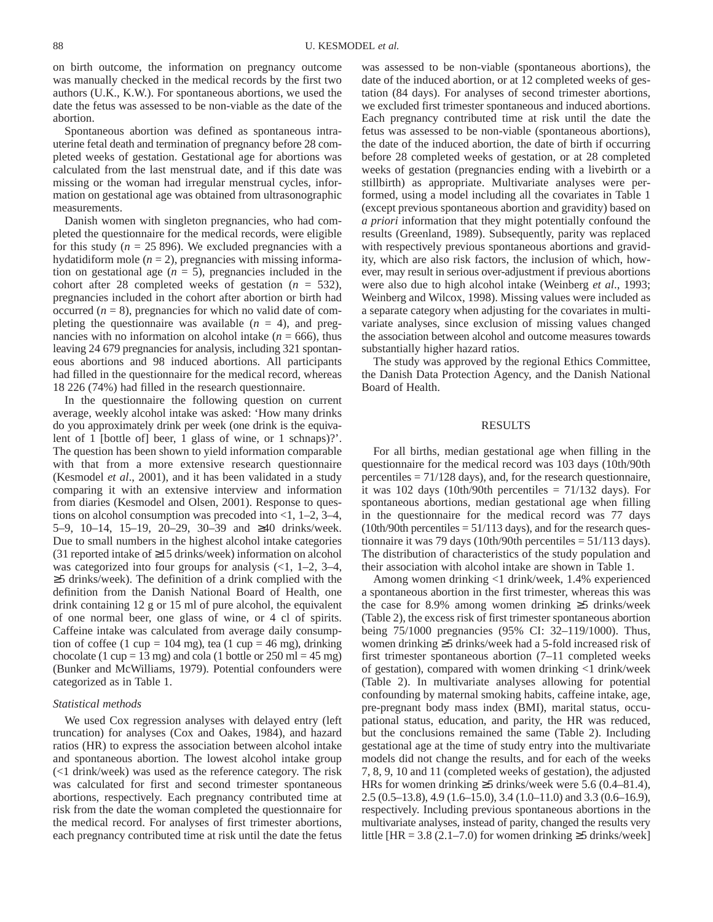on birth outcome, the information on pregnancy outcome was manually checked in the medical records by the first two authors (U.K., K.W.). For spontaneous abortions, we used the date the fetus was assessed to be non-viable as the date of the abortion.

Spontaneous abortion was defined as spontaneous intrauterine fetal death and termination of pregnancy before 28 completed weeks of gestation. Gestational age for abortions was calculated from the last menstrual date, and if this date was missing or the woman had irregular menstrual cycles, information on gestational age was obtained from ultrasonographic measurements.

Danish women with singleton pregnancies, who had completed the questionnaire for the medical records, were eligible for this study ( $n = 25,896$ ). We excluded pregnancies with a hydatidiform mole  $(n = 2)$ , pregnancies with missing information on gestational age  $(n = 5)$ , pregnancies included in the cohort after 28 completed weeks of gestation (*n* = 532), pregnancies included in the cohort after abortion or birth had occurred  $(n = 8)$ , pregnancies for which no valid date of completing the questionnaire was available  $(n = 4)$ , and pregnancies with no information on alcohol intake  $(n = 666)$ , thus leaving 24 679 pregnancies for analysis, including 321 spontaneous abortions and 98 induced abortions. All participants had filled in the questionnaire for the medical record, whereas 18 226 (74%) had filled in the research questionnaire.

In the questionnaire the following question on current average, weekly alcohol intake was asked: 'How many drinks do you approximately drink per week (one drink is the equivalent of 1 [bottle of] beer, 1 glass of wine, or 1 schnaps)?'. The question has been shown to yield information comparable with that from a more extensive research questionnaire (Kesmodel *et al*., 2001), and it has been validated in a study comparing it with an extensive interview and information from diaries (Kesmodel and Olsen, 2001). Response to questions on alcohol consumption was precoded into <1, 1–2, 3–4, 5–9, 10–14, 15–19, 20–29, 30–39 and ≥40 drinks/week. Due to small numbers in the highest alcohol intake categories (31 reported intake of ≥15 drinks/week) information on alcohol was categorized into four groups for analysis  $\left( < 1, 1-2, 3-4, \right)$ ≥5 drinks/week). The definition of a drink complied with the definition from the Danish National Board of Health, one drink containing 12 g or 15 ml of pure alcohol, the equivalent of one normal beer, one glass of wine, or 4 cl of spirits. Caffeine intake was calculated from average daily consumption of coffee (1 cup = 104 mg), tea (1 cup = 46 mg), drinking chocolate (1 cup = 13 mg) and cola (1 bottle or  $250 \text{ ml} = 45 \text{ mg}$ ) (Bunker and McWilliams, 1979). Potential confounders were categorized as in Table 1.

# *Statistical methods*

We used Cox regression analyses with delayed entry (left truncation) for analyses (Cox and Oakes, 1984), and hazard ratios (HR) to express the association between alcohol intake and spontaneous abortion. The lowest alcohol intake group (<1 drink/week) was used as the reference category. The risk was calculated for first and second trimester spontaneous abortions, respectively. Each pregnancy contributed time at risk from the date the woman completed the questionnaire for the medical record. For analyses of first trimester abortions, each pregnancy contributed time at risk until the date the fetus

was assessed to be non-viable (spontaneous abortions), the date of the induced abortion, or at 12 completed weeks of gestation (84 days). For analyses of second trimester abortions, we excluded first trimester spontaneous and induced abortions. Each pregnancy contributed time at risk until the date the fetus was assessed to be non-viable (spontaneous abortions), the date of the induced abortion, the date of birth if occurring before 28 completed weeks of gestation, or at 28 completed weeks of gestation (pregnancies ending with a livebirth or a stillbirth) as appropriate. Multivariate analyses were performed, using a model including all the covariates in Table 1 (except previous spontaneous abortion and gravidity) based on *a priori* information that they might potentially confound the results (Greenland, 1989). Subsequently, parity was replaced with respectively previous spontaneous abortions and gravidity, which are also risk factors, the inclusion of which, however, may result in serious over-adjustment if previous abortions were also due to high alcohol intake (Weinberg *et al*., 1993; Weinberg and Wilcox, 1998). Missing values were included as a separate category when adjusting for the covariates in multivariate analyses, since exclusion of missing values changed the association between alcohol and outcome measures towards substantially higher hazard ratios.

The study was approved by the regional Ethics Committee, the Danish Data Protection Agency, and the Danish National Board of Health.

#### RESULTS

For all births, median gestational age when filling in the questionnaire for the medical record was 103 days (10th/90th percentiles = 71/128 days), and, for the research questionnaire, it was 102 days (10th/90th percentiles  $= 71/132$  days). For spontaneous abortions, median gestational age when filling in the questionnaire for the medical record was 77 days  $(10th/90th)$  percentiles = 51/113 days), and for the research questionnaire it was 79 days (10th/90th percentiles  $= 51/113$  days). The distribution of characteristics of the study population and their association with alcohol intake are shown in Table 1.

Among women drinking <1 drink/week, 1.4% experienced a spontaneous abortion in the first trimester, whereas this was the case for 8.9% among women drinking  $\geq$ 5 drinks/week (Table 2), the excess risk of first trimester spontaneous abortion being 75/1000 pregnancies (95% CI: 32–119/1000). Thus, women drinking ≥5 drinks/week had a 5-fold increased risk of first trimester spontaneous abortion (7–11 completed weeks of gestation), compared with women drinking <1 drink/week (Table 2). In multivariate analyses allowing for potential confounding by maternal smoking habits, caffeine intake, age, pre-pregnant body mass index (BMI), marital status, occupational status, education, and parity, the HR was reduced, but the conclusions remained the same (Table 2). Including gestational age at the time of study entry into the multivariate models did not change the results, and for each of the weeks 7, 8, 9, 10 and 11 (completed weeks of gestation), the adjusted HRs for women drinking ≥5 drinks/week were 5.6 (0.4–81.4), 2.5 (0.5–13.8), 4.9 (1.6–15.0), 3.4 (1.0–11.0) and 3.3 (0.6–16.9), respectively. Including previous spontaneous abortions in the multivariate analyses, instead of parity, changed the results very little [HR =  $3.8$  (2.1–7.0) for women drinking  $\geq$ 5 drinks/week]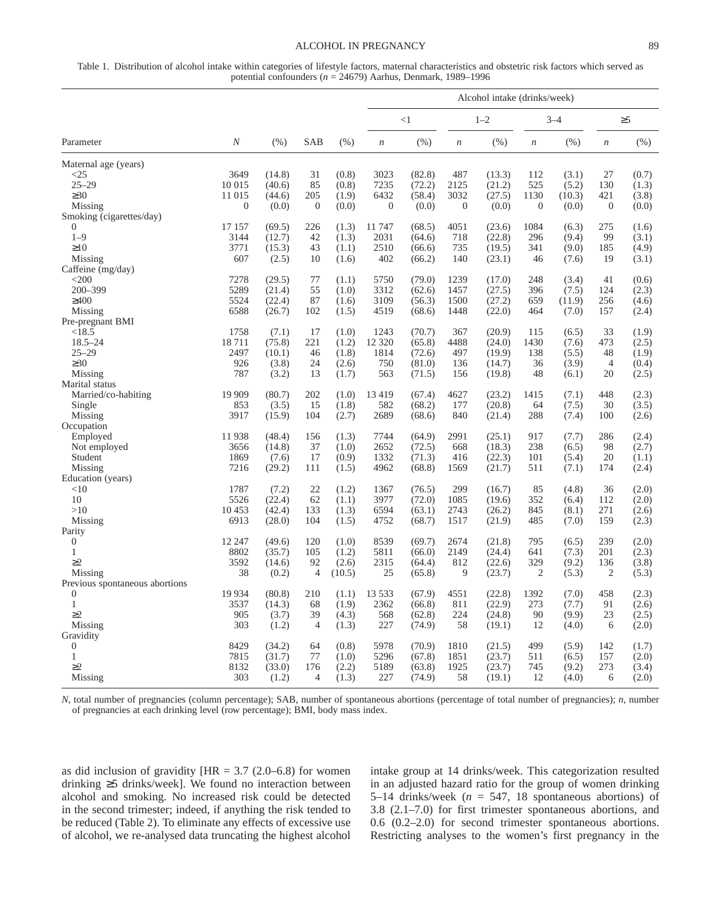#### ALCOHOL IN PREGNANCY 89

|                                |                |                 |                | (% )           | Alcohol intake (drinks/week) |                  |                  |                  |                  |                |                  |                |  |
|--------------------------------|----------------|-----------------|----------------|----------------|------------------------------|------------------|------------------|------------------|------------------|----------------|------------------|----------------|--|
|                                |                |                 |                |                | <1                           |                  | $1 - 2$          |                  | $3 - 4$          |                | $\geq 5$         |                |  |
| Parameter                      | $\mathcal N$   | (% )            | <b>SAB</b>     |                | $\boldsymbol{n}$             | $(\% )$          | $\boldsymbol{n}$ | (% )             | $\boldsymbol{n}$ | (%)            | $\boldsymbol{n}$ | $(\% )$        |  |
| Maternal age (years)           |                |                 |                |                |                              |                  |                  |                  |                  |                |                  |                |  |
| $<$ 25                         | 3649           | (14.8)          | 31             | (0.8)          | 3023                         | (82.8)           | 487              | (13.3)           | 112              | (3.1)          | 27               | (0.7)          |  |
| $25 - 29$                      | 10 015         | (40.6)          | 85             | (0.8)          | 7235                         | (72.2)           | 2125             | (21.2)           | 525              | (5.2)          | 130              | (1.3)          |  |
| $\geq 30$                      | 11 015         | (44.6)          | 205            | (1.9)          | 6432                         | (58.4)           | 3032             | (27.5)           | 1130             | (10.3)         | 421              | (3.8)          |  |
| Missing                        | $\overline{0}$ | (0.0)           | $\theta$       | (0.0)          | $\overline{0}$               | (0.0)            | $\theta$         | (0.0)            | $\overline{0}$   | (0.0)          | $\theta$         | (0.0)          |  |
| Smoking (cigarettes/day)       |                |                 |                |                |                              |                  |                  |                  |                  |                |                  |                |  |
| $\mathbf{0}$                   | 17 157         | (69.5)          | 226            | (1.3)          | 11747                        | (68.5)           | 4051             | (23.6)           | 1084             | (6.3)          | 275              | (1.6)          |  |
| $1 - 9$                        | 3144           | (12.7)          | 42             | (1.3)          | 2031                         | (64.6)           | 718              | (22.8)           | 296              | (9.4)          | 99               | (3.1)          |  |
| $\geq 10$                      | 3771           | (15.3)          | 43             | (1.1)          | 2510                         | (66.6)           | 735              | (19.5)           | 341              | (9.0)          | 185              | (4.9)          |  |
| Missing                        | 607            | (2.5)           | 10             | (1.6)          | 402                          | (66.2)           | 140              | (23.1)           | 46               | (7.6)          | 19               | (3.1)          |  |
| Caffeine $(mg/day)$            |                |                 |                |                |                              |                  |                  |                  |                  |                |                  |                |  |
| $<$ 200                        | 7278           | (29.5)          | 77             | (1.1)          | 5750                         | (79.0)           | 1239             | (17.0)           | 248              | (3.4)          | 41               | (0.6)          |  |
| $200 - 399$                    | 5289           | (21.4)          | 55             | (1.0)          | 3312                         | (62.6)           | 1457             | (27.5)           | 396              | (7.5)          | 124              | (2.3)          |  |
| $\geq 400$                     | 5524           | (22.4)          | 87             | (1.6)          | 3109                         | (56.3)           | 1500             | (27.2)           | 659              | (11.9)         | 256              | (4.6)          |  |
| Missing                        | 6588           | (26.7)          | 102            | (1.5)          | 4519                         | (68.6)           | 1448             | (22.0)           | 464              | (7.0)          | 157              | (2.4)          |  |
| Pre-pregnant BMI               |                |                 |                |                |                              |                  |                  |                  |                  |                |                  |                |  |
| < 18.5<br>$18.5 - 24$          | 1758<br>18711  | (7.1)<br>(75.8) | 17<br>221      | (1.0)<br>(1.2) | 1243<br>12 3 20              | (70.7)<br>(65.8) | 367<br>4488      | (20.9)<br>(24.0) | 115<br>1430      | (6.5)<br>(7.6) | 33<br>473        | (1.9)<br>(2.5) |  |
| $25 - 29$                      | 2497           |                 | 46             | (1.8)          | 1814                         |                  | 497              | (19.9)           | 138              |                | 48               |                |  |
| $\geq 30$                      | 926            | (10.1)          | 24             | (2.6)          | 750                          | (72.6)<br>(81.0) | 136              | (14.7)           | 36               | (5.5)          | $\overline{4}$   | (1.9)<br>(0.4) |  |
|                                | 787            | (3.8)           | 13             |                | 563                          |                  | 156              |                  | 48               | (3.9)<br>(6.1) | 20               | (2.5)          |  |
| Missing<br>Marital status      |                | (3.2)           |                | (1.7)          |                              | (71.5)           |                  | (19.8)           |                  |                |                  |                |  |
| Married/co-habiting            | 19 909         | (80.7)          | 202            | (1.0)          | 13419                        | (67.4)           | 4627             | (23.2)           | 1415             | (7.1)          | 448              | (2.3)          |  |
| Single                         | 853            | (3.5)           | 15             | (1.8)          | 582                          | (68.2)           | 177              | (20.8)           | 64               | (7.5)          | 30               | (3.5)          |  |
| Missing                        | 3917           | (15.9)          | 104            | (2.7)          | 2689                         | (68.6)           | 840              | (21.4)           | 288              | (7.4)          | 100              | (2.6)          |  |
| Occupation                     |                |                 |                |                |                              |                  |                  |                  |                  |                |                  |                |  |
| Employed                       | 11938          | (48.4)          | 156            | (1.3)          | 7744                         | (64.9)           | 2991             | (25.1)           | 917              | (7.7)          | 286              | (2.4)          |  |
| Not employed                   | 3656           | (14.8)          | 37             | (1.0)          | 2652                         | (72.5)           | 668              | (18.3)           | 238              | (6.5)          | 98               | (2.7)          |  |
| Student                        | 1869           | (7.6)           | 17             | (0.9)          | 1332                         | (71.3)           | 416              | (22.3)           | 101              | (5.4)          | 20               | (1.1)          |  |
| Missing                        | 7216           | (29.2)          | 111            | (1.5)          | 4962                         | (68.8)           | 1569             | (21.7)           | 511              | (7.1)          | 174              | (2.4)          |  |
| Education (years)              |                |                 |                |                |                              |                  |                  |                  |                  |                |                  |                |  |
| <10                            | 1787           | (7.2)           | 22             | (1.2)          | 1367                         | (76.5)           | 299              | (16.7)           | 85               | (4.8)          | 36               | (2.0)          |  |
| 10                             | 5526           | (22.4)          | 62             | (1.1)          | 3977                         | (72.0)           | 1085             | (19.6)           | 352              | (6.4)          | 112              | (2.0)          |  |
| >10                            | 10 453         | (42.4)          | 133            | (1.3)          | 6594                         | (63.1)           | 2743             | (26.2)           | 845              | (8.1)          | 271              | (2.6)          |  |
| Missing                        | 6913           | (28.0)          | 104            | (1.5)          | 4752                         | (68.7)           | 1517             | (21.9)           | 485              | (7.0)          | 159              | (2.3)          |  |
| Parity                         |                |                 |                |                |                              |                  |                  |                  |                  |                |                  |                |  |
| $\boldsymbol{0}$               | 12 247         | (49.6)          | 120            | (1.0)          | 8539                         | (69.7)           | 2674             | (21.8)           | 795              | (6.5)          | 239              | (2.0)          |  |
| $\mathbf{1}$                   | 8802           | (35.7)          | 105            | (1.2)          | 5811                         | (66.0)           | 2149             | (24.4)           | 641              | (7.3)          | 201              | (2.3)          |  |
| $\geq$ 2                       | 3592           | (14.6)          | 92             | (2.6)          | 2315                         | (64.4)           | 812              | (22.6)           | 329              | (9.2)          | 136              | (3.8)          |  |
| Missing                        | 38             | (0.2)           | $\overline{4}$ | (10.5)         | 25                           | (65.8)           | 9                | (23.7)           | $\overline{2}$   | (5.3)          | $\overline{2}$   | (5.3)          |  |
| Previous spontaneous abortions |                |                 |                |                |                              |                  |                  |                  |                  |                |                  |                |  |
| $\boldsymbol{0}$               | 19 9 34        | (80.8)          | 210            | (1.1)          | 13 5 33                      | (67.9)           | 4551             | (22.8)           | 1392             | (7.0)          | 458              | (2.3)          |  |
| $\mathbf{1}$                   | 3537           | (14.3)          | 68             | (1.9)          | 2362                         | (66.8)           | 811              | (22.9)           | 273              | (7.7)          | 91               | (2.6)          |  |
| $\geq$ 2                       | 905            | (3.7)           | 39             | (4.3)          | 568                          | (62.8)           | 224              | (24.8)           | 90               | (9.9)          | 23               | (2.5)          |  |
| Missing                        | 303            | (1.2)           | $\overline{4}$ | (1.3)          | 227                          | (74.9)           | 58               | (19.1)           | 12               | (4.0)          | 6                | (2.0)          |  |
| Gravidity                      |                |                 |                |                |                              |                  |                  |                  |                  |                |                  |                |  |
| $\boldsymbol{0}$               | 8429           | (34.2)          | 64             | (0.8)          | 5978                         | (70.9)           | 1810             | (21.5)           | 499              | (5.9)          | 142              | (1.7)          |  |
| $\mathbf{1}$                   | 7815           | (31.7)          | 77             | (1.0)          | 5296                         | (67.8)           | 1851             | (23.7)           | 511              | (6.5)          | 157              | (2.0)          |  |
| $\geq$ 2                       | 8132           | (33.0)          | 176            | (2.2)          | 5189                         | (63.8)           | 1925             | (23.7)           | 745              | (9.2)          | 273              | (3.4)          |  |
| Missing                        | 303            | (1.2)           | $\overline{4}$ | (1.3)          | 227                          | (74.9)           | 58               | (19.1)           | 12               | (4.0)          | 6                | (2.0)          |  |

*N*, total number of pregnancies (column percentage); SAB, number of spontaneous abortions (percentage of total number of pregnancies); *n*, number of pregnancies at each drinking level (row percentage); BMI, body mass index.

as did inclusion of gravidity  $[HR = 3.7 (2.0-6.8)$  for women drinking ≥5 drinks/week]. We found no interaction between alcohol and smoking. No increased risk could be detected in the second trimester; indeed, if anything the risk tended to be reduced (Table 2). To eliminate any effects of excessive use of alcohol, we re-analysed data truncating the highest alcohol intake group at 14 drinks/week. This categorization resulted in an adjusted hazard ratio for the group of women drinking 5–14 drinks/week ( $n = 547$ , 18 spontaneous abortions) of 3.8 (2.1–7.0) for first trimester spontaneous abortions, and 0.6 (0.2–2.0) for second trimester spontaneous abortions. Restricting analyses to the women's first pregnancy in the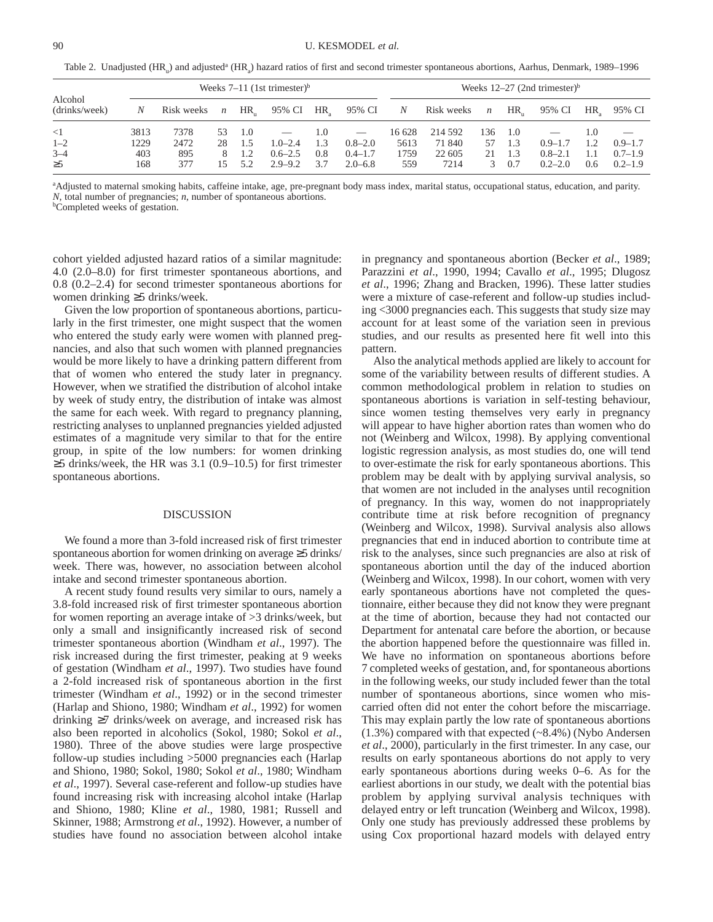Table 2. Unadjusted ( $HR_u$ ) and adjusted<sup>a</sup> ( $HR_a$ ) hazard ratios of first and second trimester spontaneous abortions, Aarhus, Denmark, 1989–1996

|                          |      | Weeks $7-11$ (1st trimester) <sup>b</sup> |                |     |                          |               |                          |        | Weeks $12-27$ (2nd trimester) <sup>b</sup> |                  |         |             |               |                                 |  |  |
|--------------------------|------|-------------------------------------------|----------------|-----|--------------------------|---------------|--------------------------|--------|--------------------------------------------|------------------|---------|-------------|---------------|---------------------------------|--|--|
| Alcohol<br>(drinks/week) | Ν    | Risk weeks                                | $\overline{n}$ |     | HR <sub>1</sub> 95% CI   | $H_{\rm R_s}$ | 95% CI                   | N      | Risk weeks                                 | $\boldsymbol{n}$ | $HR_{}$ | 95% CI      | HR.           | 95% CI                          |  |  |
| $<$ 1                    | 3813 | 7378                                      | 53.            | 1.0 | $\overline{\phantom{m}}$ | 1.0           | $\overline{\phantom{m}}$ | 16 628 | 214 592                                    | 136              | 1.0     |             | 1.0           | $\overbrace{\qquad \qquad }^{}$ |  |  |
| $1 - 2$                  | 1229 | 2472                                      | 28             | 1.5 | $1.0 - 2.4$              | 1.3           | $0.8 - 2.0$              | 5613   | 71 840                                     | 57               | -1.3    | $0.9 - 1.7$ | 1.2           | $0.9 - 1.7$                     |  |  |
| $3 - 4$                  | 403  | 895                                       | 8              | 1.2 | $0.6 - 2.5$              | 0.8           | $0.4 - 1.7$              | 1759   | 22 605                                     | 21               | -1.3    | $0.8 - 2.1$ | 1.1           | $0.7 - 1.9$                     |  |  |
| $\geq 5$                 | 168  | 377                                       | 15             | 5.2 | $2.9 - 9.2$              | 3.7           | $2.0 - 6.8$              | 559    | 7214                                       | 3                | 0.7     | $0.2 - 2.0$ | $0.6^{\circ}$ | $0.2 - 1.9$                     |  |  |

a Adjusted to maternal smoking habits, caffeine intake, age, pre-pregnant body mass index, marital status, occupational status, education, and parity. *N*, total number of pregnancies; *n*, number of spontaneous abortions.

<sup>b</sup>Completed weeks of gestation.

cohort yielded adjusted hazard ratios of a similar magnitude: 4.0 (2.0–8.0) for first trimester spontaneous abortions, and 0.8 (0.2–2.4) for second trimester spontaneous abortions for women drinking ≥5 drinks/week.

Given the low proportion of spontaneous abortions, particularly in the first trimester, one might suspect that the women who entered the study early were women with planned pregnancies, and also that such women with planned pregnancies would be more likely to have a drinking pattern different from that of women who entered the study later in pregnancy. However, when we stratified the distribution of alcohol intake by week of study entry, the distribution of intake was almost the same for each week. With regard to pregnancy planning, restricting analyses to unplanned pregnancies yielded adjusted estimates of a magnitude very similar to that for the entire group, in spite of the low numbers: for women drinking  $\geq$ 5 drinks/week, the HR was 3.1 (0.9–10.5) for first trimester spontaneous abortions.

#### DISCUSSION

We found a more than 3-fold increased risk of first trimester spontaneous abortion for women drinking on average ≥5 drinks/ week. There was, however, no association between alcohol intake and second trimester spontaneous abortion.

A recent study found results very similar to ours, namely a 3.8-fold increased risk of first trimester spontaneous abortion for women reporting an average intake of >3 drinks/week, but only a small and insignificantly increased risk of second trimester spontaneous abortion (Windham *et al*., 1997). The risk increased during the first trimester, peaking at 9 weeks of gestation (Windham *et al*., 1997). Two studies have found a 2-fold increased risk of spontaneous abortion in the first trimester (Windham *et al*., 1992) or in the second trimester (Harlap and Shiono, 1980; Windham *et al*., 1992) for women drinking ≥7 drinks/week on average, and increased risk has also been reported in alcoholics (Sokol, 1980; Sokol *et al*., 1980). Three of the above studies were large prospective follow-up studies including >5000 pregnancies each (Harlap and Shiono, 1980; Sokol, 1980; Sokol *et al*., 1980; Windham *et al*., 1997). Several case-referent and follow-up studies have found increasing risk with increasing alcohol intake (Harlap and Shiono, 1980; Kline *et al*., 1980, 1981; Russell and Skinner, 1988; Armstrong *et al*., 1992). However, a number of studies have found no association between alcohol intake in pregnancy and spontaneous abortion (Becker *et al*., 1989; Parazzini *et al*., 1990, 1994; Cavallo *et al*., 1995; Dlugosz *et al*., 1996; Zhang and Bracken, 1996). These latter studies were a mixture of case-referent and follow-up studies including <3000 pregnancies each. This suggests that study size may account for at least some of the variation seen in previous studies, and our results as presented here fit well into this pattern.

Also the analytical methods applied are likely to account for some of the variability between results of different studies. A common methodological problem in relation to studies on spontaneous abortions is variation in self-testing behaviour, since women testing themselves very early in pregnancy will appear to have higher abortion rates than women who do not (Weinberg and Wilcox, 1998). By applying conventional logistic regression analysis, as most studies do, one will tend to over-estimate the risk for early spontaneous abortions. This problem may be dealt with by applying survival analysis, so that women are not included in the analyses until recognition of pregnancy. In this way, women do not inappropriately contribute time at risk before recognition of pregnancy (Weinberg and Wilcox, 1998). Survival analysis also allows pregnancies that end in induced abortion to contribute time at risk to the analyses, since such pregnancies are also at risk of spontaneous abortion until the day of the induced abortion (Weinberg and Wilcox, 1998). In our cohort, women with very early spontaneous abortions have not completed the questionnaire, either because they did not know they were pregnant at the time of abortion, because they had not contacted our Department for antenatal care before the abortion, or because the abortion happened before the questionnaire was filled in. We have no information on spontaneous abortions before 7 completed weeks of gestation, and, for spontaneous abortions in the following weeks, our study included fewer than the total number of spontaneous abortions, since women who miscarried often did not enter the cohort before the miscarriage. This may explain partly the low rate of spontaneous abortions (1.3%) compared with that expected (~8.4%) (Nybo Andersen *et al*., 2000), particularly in the first trimester. In any case, our results on early spontaneous abortions do not apply to very early spontaneous abortions during weeks 0–6. As for the earliest abortions in our study, we dealt with the potential bias problem by applying survival analysis techniques with delayed entry or left truncation (Weinberg and Wilcox, 1998). Only one study has previously addressed these problems by using Cox proportional hazard models with delayed entry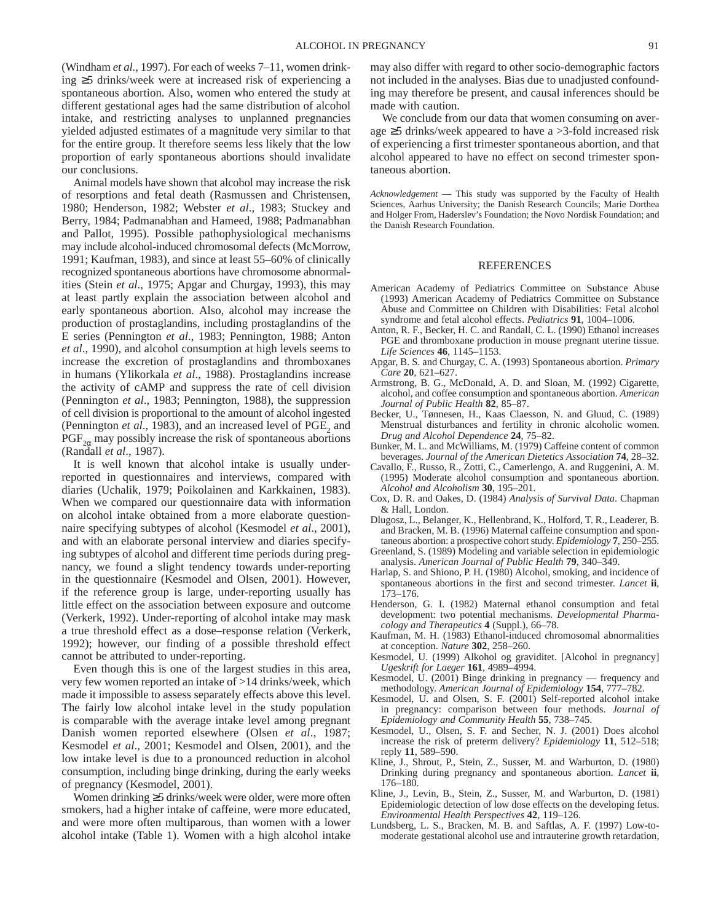(Windham *et al.*, 1997). For each of weeks 7–11, women drinking ≥5 drinks/week were at increased risk of experiencing a spontaneous abortion. Also, women who entered the study at different gestational ages had the same distribution of alcohol intake, and restricting analyses to unplanned pregnancies yielded adjusted estimates of a magnitude very similar to that for the entire group. It therefore seems less likely that the low proportion of early spontaneous abortions should invalidate our conclusions.

Animal models have shown that alcohol may increase the risk of resorptions and fetal death (Rasmussen and Christensen, 1980; Henderson, 1982; Webster *et al*., 1983; Stuckey and Berry, 1984; Padmanabhan and Hameed, 1988; Padmanabhan and Pallot, 1995). Possible pathophysiological mechanisms may include alcohol-induced chromosomal defects (McMorrow, 1991; Kaufman, 1983), and since at least 55–60% of clinically recognized spontaneous abortions have chromosome abnormalities (Stein *et al*., 1975; Apgar and Churgay, 1993), this may at least partly explain the association between alcohol and early spontaneous abortion. Also, alcohol may increase the production of prostaglandins, including prostaglandins of the E series (Pennington *et al*., 1983; Pennington, 1988; Anton *et al*., 1990), and alcohol consumption at high levels seems to increase the excretion of prostaglandins and thromboxanes in humans (Ylikorkala *et al*., 1988). Prostaglandins increase the activity of cAMP and suppress the rate of cell division (Pennington *et al*., 1983; Pennington, 1988), the suppression of cell division is proportional to the amount of alcohol ingested (Pennington *et al.*, 1983), and an increased level of PGE<sub>2</sub> and  $PGF<sub>2\alpha</sub>$  may possibly increase the risk of spontaneous abortions (Randall *et al*., 1987).

It is well known that alcohol intake is usually underreported in questionnaires and interviews, compared with diaries (Uchalik, 1979; Poikolainen and Karkkainen, 1983). When we compared our questionnaire data with information on alcohol intake obtained from a more elaborate questionnaire specifying subtypes of alcohol (Kesmodel *et al*., 2001), and with an elaborate personal interview and diaries specifying subtypes of alcohol and different time periods during pregnancy, we found a slight tendency towards under-reporting in the questionnaire (Kesmodel and Olsen, 2001). However, if the reference group is large, under-reporting usually has little effect on the association between exposure and outcome (Verkerk, 1992). Under-reporting of alcohol intake may mask a true threshold effect as a dose–response relation (Verkerk, 1992); however, our finding of a possible threshold effect cannot be attributed to under-reporting.

Even though this is one of the largest studies in this area, very few women reported an intake of >14 drinks/week, which made it impossible to assess separately effects above this level. The fairly low alcohol intake level in the study population is comparable with the average intake level among pregnant Danish women reported elsewhere (Olsen *et al*., 1987; Kesmodel *et al*., 2001; Kesmodel and Olsen, 2001), and the low intake level is due to a pronounced reduction in alcohol consumption, including binge drinking, during the early weeks of pregnancy (Kesmodel, 2001).

Women drinking ≥5 drinks/week were older, were more often smokers, had a higher intake of caffeine, were more educated, and were more often multiparous, than women with a lower alcohol intake (Table 1). Women with a high alcohol intake

may also differ with regard to other socio-demographic factors not included in the analyses. Bias due to unadjusted confounding may therefore be present, and causal inferences should be made with caution.

We conclude from our data that women consuming on average  $\geq$ 5 drinks/week appeared to have a  $>$ 3-fold increased risk of experiencing a first trimester spontaneous abortion, and that alcohol appeared to have no effect on second trimester spontaneous abortion.

*Acknowledgement* — This study was supported by the Faculty of Health Sciences, Aarhus University; the Danish Research Councils; Marie Dorthea and Holger From, Haderslev's Foundation; the Novo Nordisk Foundation; and the Danish Research Foundation.

## **REFERENCES**

- American Academy of Pediatrics Committee on Substance Abuse (1993) American Academy of Pediatrics Committee on Substance Abuse and Committee on Children with Disabilities: Fetal alcohol syndrome and fetal alcohol effects. *Pediatrics* **91**, 1004–1006.
- Anton, R. F., Becker, H. C. and Randall, C. L. (1990) Ethanol increases PGE and thromboxane production in mouse pregnant uterine tissue. *Life Sciences* **46**, 1145–1153.
- Apgar, B. S. and Churgay, C. A. (1993) Spontaneous abortion. *Primary Care* **20**, 621–627.
- Armstrong, B. G., McDonald, A. D. and Sloan, M. (1992) Cigarette, alcohol, and coffee consumption and spontaneous abortion. *American Journal of Public Health* **82**, 85–87.
- Becker, U., Tønnesen, H., Kaas Claesson, N. and Gluud, C. (1989) Menstrual disturbances and fertility in chronic alcoholic women. *Drug and Alcohol Dependence* **24**, 75–82.
- Bunker, M. L. and McWilliams, M. (1979) Caffeine content of common beverages. *Journal of the American Dietetics Association* **74**, 28–32.
- Cavallo, F., Russo, R., Zotti, C., Camerlengo, A. and Ruggenini, A. M. (1995) Moderate alcohol consumption and spontaneous abortion. *Alcohol and Alcoholism* **30**, 195–201.
- Cox, D. R. and Oakes, D. (1984) *Analysis of Survival Data*. Chapman & Hall, London.
- Dlugosz, L., Belanger, K., Hellenbrand, K., Holford, T. R., Leaderer, B. and Bracken, M. B. (1996) Maternal caffeine consumption and spontaneous abortion: a prospective cohort study. *Epidemiology* **7**, 250–255.
- Greenland, S. (1989) Modeling and variable selection in epidemiologic analysis. *American Journal of Public Health* **79**, 340–349.
- Harlap, S. and Shiono, P. H. (1980) Alcohol, smoking, and incidence of spontaneous abortions in the first and second trimester. *Lancet* **ii**, 173–176.
- Henderson, G. I. (1982) Maternal ethanol consumption and fetal development: two potential mechanisms. *Developmental Pharmacology and Therapeutics* **4** (Suppl.), 66–78.
- Kaufman, M. H. (1983) Ethanol-induced chromosomal abnormalities at conception. *Nature* **302**, 258–260.
- Kesmodel, U. (1999) Alkohol og graviditet. [Alcohol in pregnancy] *Ugeskrift for Laeger* **161**, 4989–4994.
- Kesmodel, U. (2001) Binge drinking in pregnancy frequency and methodology. *American Journal of Epidemiology* **154**, 777–782.
- Kesmodel, U. and Olsen, S. F. (2001) Self-reported alcohol intake in pregnancy: comparison between four methods. *Journal of Epidemiology and Community Health* **55**, 738–745.
- Kesmodel, U., Olsen, S. F. and Secher, N. J. (2001) Does alcohol increase the risk of preterm delivery? *Epidemiology* **11**, 512–518; reply **11**, 589–590.
- Kline, J., Shrout, P., Stein, Z., Susser, M. and Warburton, D. (1980) Drinking during pregnancy and spontaneous abortion. *Lancet* **ii**, 176–180.
- Kline, J., Levin, B., Stein, Z., Susser, M. and Warburton, D. (1981) Epidemiologic detection of low dose effects on the developing fetus. *Environmental Health Perspectives* **42**, 119–126.
- Lundsberg, L. S., Bracken, M. B. and Saftlas, A. F. (1997) Low-tomoderate gestational alcohol use and intrauterine growth retardation,